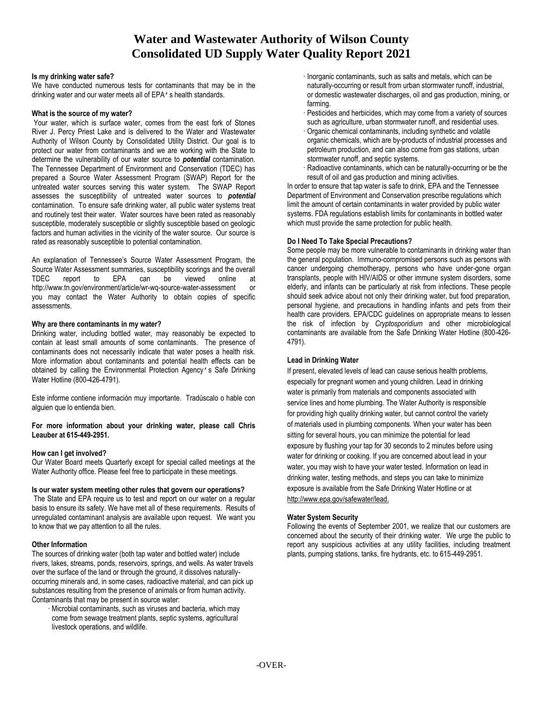# **Water and Wastewater Authority of Wilson County Consolidated UD Supply Water Quality Report 2021**

#### **Is my drinking water safe?**

We have conducted numerous tests for contaminants that may be in the drinking water and our water meets all of EPA's health standards.

#### **What is the source of my water?**

Your water, which is surface water, comes from the east fork of Stones River J. Percy Priest Lake and is delivered to the Water and Wastewater Authority of Wilson County by Consolidated Utility District. Our goal is to protect our water from contaminants and we are working with the State to determine the vulnerability of our water source to *potential* contamination. The Tennessee Department of Environment and Conservation (TDEC) has prepared a Source Water Assessment Program (SWAP) Report for the untreated water sources serving this water system. The SWAP Report assesses the susceptibility of untreated water sources to *potential* contamination. To ensure safe drinking water, all public water systems treat and routinely test their water. Water sources have been rated as reasonably susceptible, moderately susceptible or slightly susceptible based on geologic factors and human activities in the vicinity of the water source. Our source is rated as reasonably susceptible to potential contamination.

An explanation of Tennessee's Source Water Assessment Program, the Source Water Assessment summaries, susceptibility scorings and the overall TDEC report to EPA can be viewed online at http://www.tn.gov/environment/article/wr-wq-source-water-assessment or you may contact the Water Authority to obtain copies of specific assessments.

# **Why are there contaminants in my water?**

Drinking water, including bottled water, may reasonably be expected to contain at least small amounts of some contaminants. The presence of contaminants does not necessarily indicate that water poses a health risk. More information about contaminants and potential health effects can be obtained by calling the Environmental Protection Agency's Safe Drinking Water Hotline (800-426-4791).

Este informe contiene información muy importante. Tradúscalo o hable con alguien que lo entienda bien.

**For more information about your drinking water, please call Chris Leauber at 615-449-2951.**

# **How can I get involved?**

Our Water Board meets Quarterly except for special called meetings at the Water Authority office. Please feel free to participate in these meetings.

#### **Is our water system meeting other rules that govern our operations?**

The State and EPA require us to test and report on our water on a regular basis to ensure its safety. We have met all of these requirements. Results of unregulated contaminant analysis are available upon request. We want you to know that we pay attention to all the rules.

# **Other Information**

The sources of drinking water (both tap water and bottled water) include rivers, lakes, streams, ponds, reservoirs, springs, and wells. As water travels over the surface of the land or through the ground, it dissolves naturallyoccurring minerals and, in some cases, radioactive material, and can pick up substances resulting from the presence of animals or from human activity. Contaminants that may be present in source water:

· Microbial contaminants, such as viruses and bacteria, which may come from sewage treatment plants, septic systems, agricultural livestock operations, and wildlife.

- · Inorganic contaminants, such as salts and metals, which can be naturally-occurring or result from urban stormwater runoff, industrial, or domestic wastewater discharges, oil and gas production, mining, or farming.
- Pesticides and herbicides, which may come from a variety of sources such as agriculture, urban stormwater runoff, and residential uses.
- · Organic chemical contaminants, including synthetic and volatile organic chemicals, which are by-products of industrial processes and petroleum production, and can also come from gas stations, urban stormwater runoff, and septic systems.
- · Radioactive contaminants, which can be naturally-occurring or be the result of oil and gas production and mining activities.

In order to ensure that tap water is safe to drink, EPA and the Tennessee Department of Environment and Conservation prescribe regulations which limit the amount of certain contaminants in water provided by public water systems. FDA regulations establish limits for contaminants in bottled water which must provide the same protection for public health.

# **Do I Need To Take Special Precautions?**

Some people may be more vulnerable to contaminants in drinking water than the general population. Immuno-compromised persons such as persons with cancer undergoing chemotherapy, persons who have under-gone organ transplants, people with HIV/AIDS or other immune system disorders, some elderly, and infants can be particularly at risk from infections. These people should seek advice about not only their drinking water, but food preparation, personal hygiene, and precautions in handling infants and pets from their health care providers. EPA/CDC guidelines on appropriate means to lessen the risk of infection by *Cryptosporidium* and other microbiological contaminants are available from the Safe Drinking Water Hotline (800-426- 4791).

# **Lead in Drinking Water**

If present, elevated levels of lead can cause serious health problems, especially for pregnant women and young children. Lead in drinking water is primarily from materials and components associated with service lines and home plumbing. The Water Authority is responsible for providing high quality drinking water, but cannot control the variety of materials used in plumbing components. When your water has been sitting for several hours, you can minimize the potential for lead exposure by flushing your tap for 30 seconds to 2 minutes before using water for drinking or cooking. If you are concerned about lead in your water, you may wish to have your water tested. Information on lead in drinking water, testing methods, and steps you can take to minimize exposure is available from the Safe Drinking Water Hotline or at [http://www.epa.gov/safewater/lead.](http://www.epa.gov/safewater/lead)

# **Water System Security**

Following the events of September 2001, we realize that our customers are concerned about the security of their drinking water. We urge the public to report any suspicious activities at any utility facilities, including treatment plants, pumping stations, tanks, fire hydrants, etc. to 615-449-2951.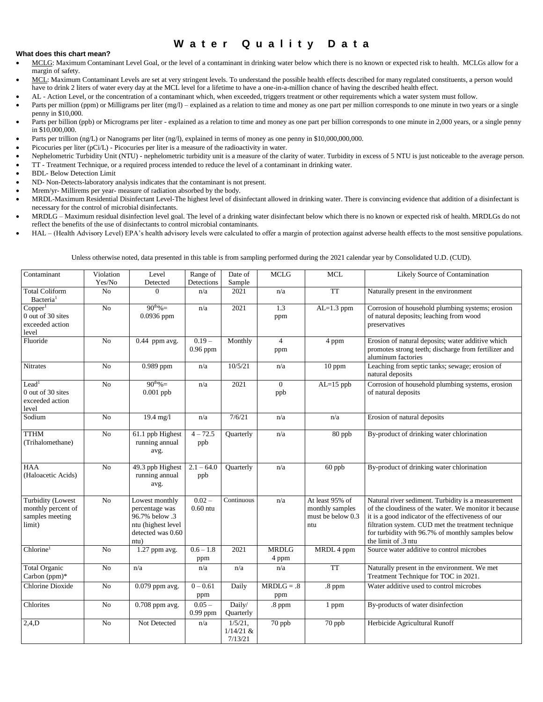# **W a t e r Q u a l i t y D a t a**

#### **What does this chart mean?**

- MCLG: Maximum Contaminant Level Goal, or the level of a contaminant in drinking water below which there is no known or expected risk to health. MCLGs allow for a margin of safety.
- MCL: Maximum Contaminant Levels are set at very stringent levels. To understand the possible health effects described for many regulated constituents, a person would have to drink 2 liters of water every day at the MCL level for a lifetime to have a one-in-a-million chance of having the described health effect.
	- AL Action Level, or the concentration of a contaminant which, when exceeded, triggers treatment or other requirements which a water system must follow.
- Parts per million (ppm) or Milligrams per liter (mg/l) explained as a relation to time and money as one part per million corresponds to one minute in two years or a single penny in \$10,000.
- Parts per billion (ppb) or Micrograms per liter explained as a relation to time and money as one part per billion corresponds to one minute in 2,000 years, or a single penny in \$10,000,000.
- Parts per trillion (ng/L) or Nanograms per liter (ng/l), explained in terms of money as one penny in \$10,000,000,000.
- Picocuries per liter (pCi/L) Picocuries per liter is a measure of the radioactivity in water.
- Nephelometric Turbidity Unit (NTU) nephelometric turbidity unit is a measure of the clarity of water. Turbidity in excess of 5 NTU is just noticeable to the average person.
- TT Treatment Technique, or a required process intended to reduce the level of a contaminant in drinking water.
- BDL- Below Detection Limit
- ND- Non-Detects-laboratory analysis indicates that the contaminant is not present.
- Mrem/yr- Millirems per year- measure of radiation absorbed by the body.
- MRDL-Maximum Residential Disinfectant Level-The highest level of disinfectant allowed in drinking water. There is convincing evidence that addition of a disinfectant is necessary for the control of microbial disinfectants.
- MRDLG Maximum residual disinfection level goal. The level of a drinking water disinfectant below which there is no known or expected risk of health. MRDLGs do not reflect the benefits of the use of disinfectants to control microbial contaminants.
- HAL (Health Advisory Level) EPA's health advisory levels were calculated to offer a margin of protection against adverse health effects to the most sensitive populations.

Unless otherwise noted, data presented in this table is from sampling performed during the 2021 calendar year by Consolidated U.D. (CUD).

| Contaminant                                                          | Violation<br>Yes/No | Level<br>Detected                                                                                     | Range of<br>Detections | Date of<br>Sample                    | <b>MCLG</b>           | <b>MCL</b>                                                     | Likely Source of Contamination                                                                                                                                                                                                                                                                      |
|----------------------------------------------------------------------|---------------------|-------------------------------------------------------------------------------------------------------|------------------------|--------------------------------------|-----------------------|----------------------------------------------------------------|-----------------------------------------------------------------------------------------------------------------------------------------------------------------------------------------------------------------------------------------------------------------------------------------------------|
| <b>Total Coliform</b><br>Bacteria <sup>1</sup>                       | N <sub>o</sub>      | $\Omega$                                                                                              | n/a                    | 2021                                 | n/a                   | <b>TT</b>                                                      | Naturally present in the environment                                                                                                                                                                                                                                                                |
| Copper <sup>1</sup><br>0 out of 30 sites<br>exceeded action<br>level | $\overline{No}$     | $90^{th}\% =$<br>$0.0936$ ppm                                                                         | n/a                    | 2021                                 | 1.3<br>ppm            | $AL=1.3$ ppm                                                   | Corrosion of household plumbing systems; erosion<br>of natural deposits; leaching from wood<br>preservatives                                                                                                                                                                                        |
| Fluoride                                                             | N <sub>o</sub>      | $0.44$ ppm avg.                                                                                       | $0.19 -$<br>$0.96$ ppm | Monthly                              | $\overline{4}$<br>ppm | 4 ppm                                                          | Erosion of natural deposits; water additive which<br>promotes strong teeth; discharge from fertilizer and<br>aluminum factories                                                                                                                                                                     |
| Nitrates                                                             | N <sub>o</sub>      | $0.989$ ppm                                                                                           | n/a                    | 10/5/21                              | n/a                   | 10 ppm                                                         | Leaching from septic tanks; sewage; erosion of<br>natural deposits                                                                                                                                                                                                                                  |
| Lead <sup>1</sup><br>0 out of 30 sites<br>exceeded action<br>level   | No                  | $90^{th}\% =$<br>$0.001$ ppb                                                                          | n/a                    | 2021                                 | $\theta$<br>ppb       | $AL=15$ ppb                                                    | Corrosion of household plumbing systems, erosion<br>of natural deposits                                                                                                                                                                                                                             |
| Sodium                                                               | No                  | 19.4 mg/l                                                                                             | n/a                    | 7/6/21                               | n/a                   | n/a                                                            | Erosion of natural deposits                                                                                                                                                                                                                                                                         |
| <b>TTHM</b><br>(Trihalomethane)                                      | $\overline{No}$     | 61.1 ppb Highest<br>running annual<br>avg.                                                            | $4 - 72.5$<br>ppb      | Quarterly                            | n/a                   | 80 ppb                                                         | By-product of drinking water chlorination                                                                                                                                                                                                                                                           |
| <b>HAA</b><br>(Haloacetic Acids)                                     | No                  | 49.3 ppb Highest<br>running annual<br>avg.                                                            | $2.1 - 64.0$<br>ppb    | <b>Ouarterly</b>                     | n/a                   | 60 ppb                                                         | By-product of drinking water chlorination                                                                                                                                                                                                                                                           |
| Turbidity (Lowest<br>monthly percent of<br>samples meeting<br>limit) | No                  | Lowest monthly<br>percentage was<br>96.7% below .3<br>ntu (highest level<br>detected was 0.60<br>ntu) | $0.02 -$<br>$0.60$ ntu | Continuous                           | n/a                   | At least 95% of<br>monthly samples<br>must be below 0.3<br>ntu | Natural river sediment. Turbidity is a measurement<br>of the cloudiness of the water. We monitor it because<br>it is a good indicator of the effectiveness of our<br>filtration system. CUD met the treatment technique<br>for turbidity with 96.7% of monthly samples below<br>the limit of .3 ntu |
| Chlorine <sup>1</sup>                                                | No                  | 1.27 ppm avg.                                                                                         | $0.6 - 1.8$<br>ppm     | 2021                                 | <b>MRDLG</b><br>4 ppm | MRDL 4 ppm                                                     | Source water additive to control microbes                                                                                                                                                                                                                                                           |
| <b>Total Organic</b><br>Carbon (ppm)*                                | No                  | n/a                                                                                                   | n/a                    | n/a                                  | n/a                   | <b>TT</b>                                                      | Naturally present in the environment. We met<br>Treatment Technique for TOC in 2021.                                                                                                                                                                                                                |
| Chlorine Dioxide                                                     | No                  | 0.079 ppm avg.                                                                                        | $0 - 0.61$<br>ppm      | Daily                                | $MRDLG = .8$<br>ppm   | .8 ppm                                                         | Water additive used to control microbes                                                                                                                                                                                                                                                             |
| Chlorites                                                            | No                  | 0.708 ppm avg.                                                                                        | $0.05 -$<br>$0.99$ ppm | Daily/<br>Quarterly                  | .8 ppm                | 1 ppm                                                          | By-products of water disinfection                                                                                                                                                                                                                                                                   |
| 2,4,D                                                                | No                  | Not Detected                                                                                          | n/a                    | $1/5/21$ ,<br>$1/14/21$ &<br>7/13/21 | 70 ppb                | 70 ppb                                                         | Herbicide Agricultural Runoff                                                                                                                                                                                                                                                                       |